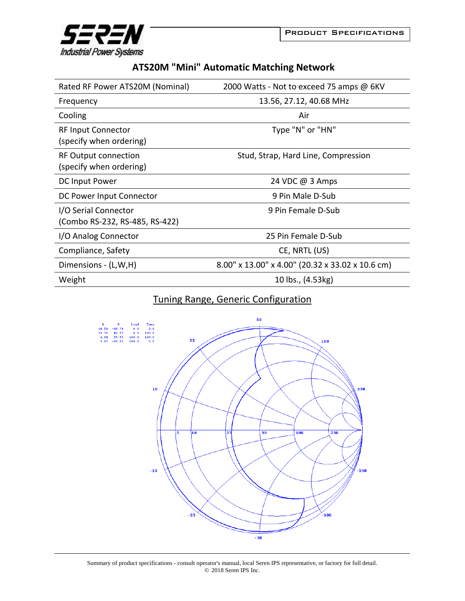



| <b>ATS20M "Mini" Automatic Matching Network</b> |  |  |  |
|-------------------------------------------------|--|--|--|
|-------------------------------------------------|--|--|--|

| Rated RF Power ATS20M (Nominal)                        | 2000 Watts - Not to exceed 75 amps @ 6KV         |
|--------------------------------------------------------|--------------------------------------------------|
| Frequency                                              | 13.56, 27.12, 40.68 MHz                          |
| Cooling                                                | Air                                              |
| <b>RF Input Connector</b><br>(specify when ordering)   | Type "N" or "HN"                                 |
| <b>RF Output connection</b><br>(specify when ordering) | Stud, Strap, Hard Line, Compression              |
| DC Input Power                                         | 24 VDC @ 3 Amps                                  |
| DC Power Input Connector                               | 9 Pin Male D-Sub                                 |
| I/O Serial Connector<br>(Combo RS-232, RS-485, RS-422) | 9 Pin Female D-Sub                               |
| I/O Analog Connector                                   | 25 Pin Female D-Sub                              |
| Compliance, Safety                                     | CE, NRTL (US)                                    |
| Dimensions - (L,W,H)                                   | 8.00" x 13.00" x 4.00" (20.32 x 33.02 x 10.6 cm) |
| Weight                                                 | 10 lbs., (4.53kg)                                |

## Tuning Range, Generic Configuration